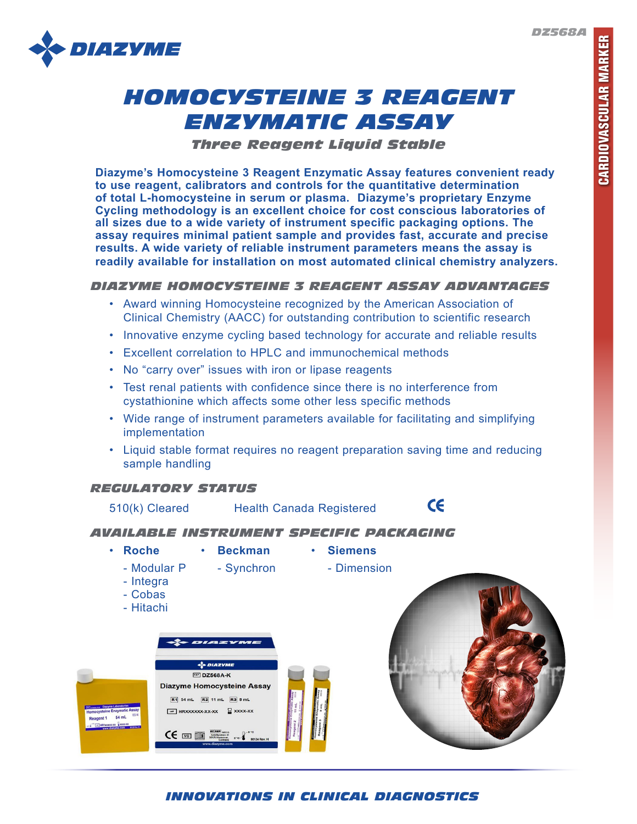*DZ568A*



# *HOMOCYSTEINE 3 REAGENT ENZYMATIC ASSAY*

*Three Reagent Liquid Stable*

**Diazyme's Homocysteine 3 Reagent Enzymatic Assay features convenient ready to use reagent, calibrators and controls for the quantitative determination of total L-homocysteine in serum or plasma. Diazyme's proprietary Enzyme Cycling methodology is an excellent choice for cost conscious laboratories of all sizes due to a wide variety of instrument specific packaging options. The assay requires minimal patient sample and provides fast, accurate and precise results. A wide variety of reliable instrument parameters means the assay is readily available for installation on most automated clinical chemistry analyzers.**

# *DIAZYME HOMOCYSTEINE 3 REAGENT ASSAY ADVANTAGES*

- Award winning Homocysteine recognized by the American Association of Clinical Chemistry (AACC) for outstanding contribution to scientific research
- Innovative enzyme cycling based technology for accurate and reliable results
- Excellent correlation to HPLC and immunochemical methods
- No "carry over" issues with iron or lipase reagents
- Test renal patients with confidence since there is no interference from cystathionine which affects some other less specific methods
- Wide range of instrument parameters available for facilitating and simplifying implementation
- Liquid stable format requires no reagent preparation saving time and reducing sample handling

# *REGULATORY STATUS*



*INNOVATIONS IN CLINICAL DIAGNOSTICS*